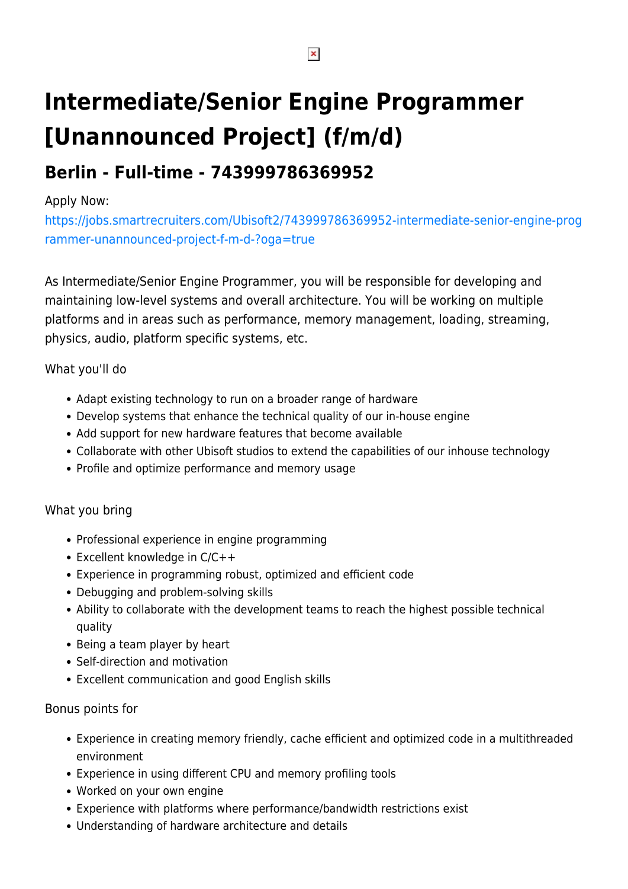# **Intermediate/Senior Engine Programmer [Unannounced Project] (f/m/d)**

## **Berlin - Full-time - 743999786369952**

### Apply Now:

[https://jobs.smartrecruiters.com/Ubisoft2/743999786369952-intermediate-senior-engine-prog](https://jobs.smartrecruiters.com/Ubisoft2/743999786369952-intermediate-senior-engine-programmer-unannounced-project-f-m-d-?oga=true) [rammer-unannounced-project-f-m-d-?oga=true](https://jobs.smartrecruiters.com/Ubisoft2/743999786369952-intermediate-senior-engine-programmer-unannounced-project-f-m-d-?oga=true)

As Intermediate/Senior Engine Programmer, you will be responsible for developing and maintaining low-level systems and overall architecture. You will be working on multiple platforms and in areas such as performance, memory management, loading, streaming, physics, audio, platform specific systems, etc.

### What you'll do

- Adapt existing technology to run on a broader range of hardware
- Develop systems that enhance the technical quality of our in-house engine
- Add support for new hardware features that become available
- Collaborate with other Ubisoft studios to extend the capabilities of our inhouse technology
- Profile and optimize performance and memory usage

### What you bring

- Professional experience in engine programming
- Excellent knowledge in  $C/C++$
- Experience in programming robust, optimized and efficient code
- Debugging and problem-solving skills
- Ability to collaborate with the development teams to reach the highest possible technical quality
- Being a team player by heart
- Self-direction and motivation
- Excellent communication and good English skills

#### Bonus points for

- Experience in creating memory friendly, cache efficient and optimized code in a multithreaded environment
- Experience in using different CPU and memory profiling tools
- Worked on your own engine
- Experience with platforms where performance/bandwidth restrictions exist
- Understanding of hardware architecture and details

 $\pmb{\times}$